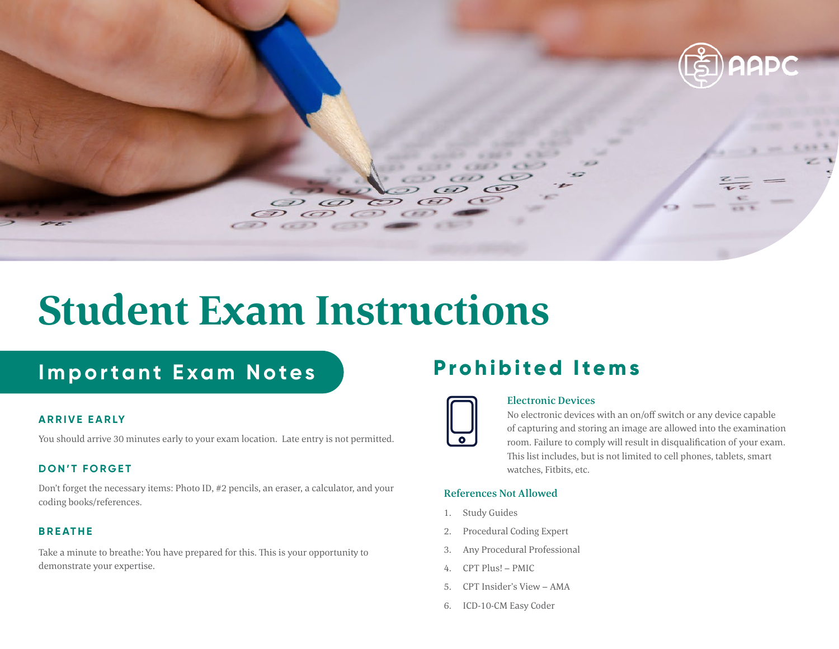

# **Student Exam Instructions**

### **Important Exam Notes**

### **ARRIVE EARLY**

You should arrive 30 minutes early to your exam location. Late entry is not permitted.

### **DON'T FORGET**

Don't forget the necessary items: Photo ID, #2 pencils, an eraser, a calculator, and your coding books/references.

### **BREATHE**

Take a minute to breathe: You have prepared for this. This is your opportunity to demonstrate your expertise.

### **Prohibited Items**



#### Electronic Devices

No electronic devices with an on/off switch or any device capable of capturing and storing an image are allowed into the examination room. Failure to comply will result in disqualification of your exam. This list includes, but is not limited to cell phones, tablets, smart watches, Fitbits, etc.

#### References Not Allowed

- 1. Study Guides
- 2. Procedural Coding Expert
- 3. Any Procedural Professional
- 4. CPT Plus! PMIC
- 5. CPT Insider's View AMA
- 6. ICD-10-CM Easy Coder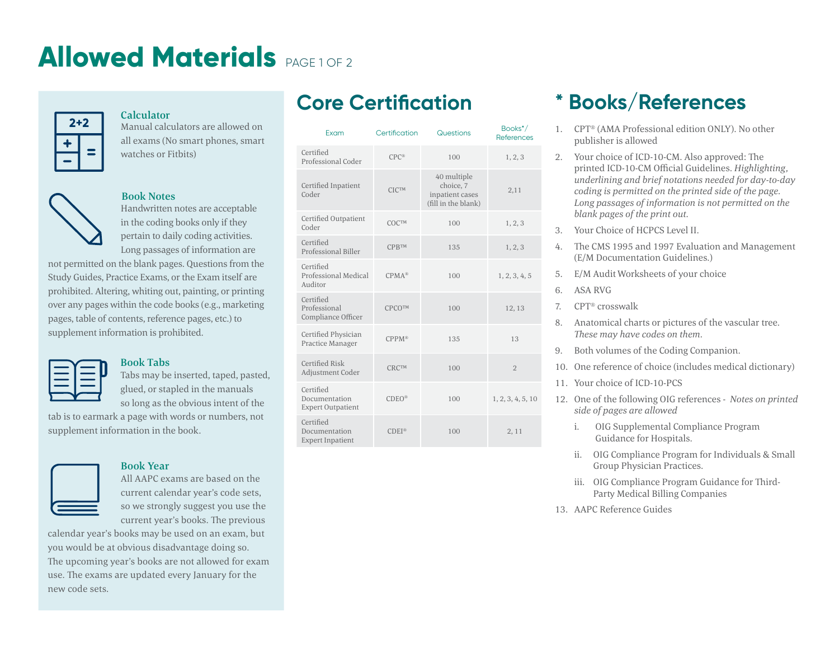# **Allowed Materials** PAGE 1 OF 2



#### Calculator

Manual calculators are allowed on all exams (No smart phones, smart watches or Fitbits)



#### Book Notes

Handwritten notes are acceptable in the coding books only if they pertain to daily coding activities. Long passages of information are

not permitted on the blank pages. Questions from the Study Guides, Practice Exams, or the Exam itself are prohibited. Altering, whiting out, painting, or printing over any pages within the code books (e.g., marketing pages, table of contents, reference pages, etc.) to supplement information is prohibited.



#### Book Tabs

Tabs may be inserted, taped, pasted, glued, or stapled in the manuals so long as the obvious intent of the

tab is to earmark a page with words or numbers, not supplement information in the book.

#### Book Year

All AAPC exams are based on the current calendar year's code sets, so we strongly suggest you use the current year's books. The previous

calendar year's books may be used on an exam, but you would be at obvious disadvantage doing so. The upcoming year's books are not allowed for exam use. The exams are updated every January for the new code sets.

### **Core Certification**

| Exam                                                   | Certification | Questions                                                          | Books <sup>*</sup> /<br><b>References</b> |
|--------------------------------------------------------|---------------|--------------------------------------------------------------------|-------------------------------------------|
| Certified<br>Professional Coder                        | $CPC^*$       | 100                                                                | 1, 2, 3                                   |
| Certified Inpatient<br>Coder                           | <b>CICTM</b>  | 40 multiple<br>choice, 7<br>inpatient cases<br>(fill in the blank) | 2,11                                      |
| Certified Outpatient<br>Coder                          | <b>COCTM</b>  | 100                                                                | 1, 2, 3                                   |
| Certified<br>Professional Biller                       | <b>CPBTM</b>  | 135                                                                | 1, 2, 3                                   |
| Certified<br>Professional Medical<br>Auditor           | $CPMA^*$      | 100                                                                | 1, 2, 3, 4, 5                             |
| Certified<br>Professional<br>Compliance Officer        | CPCOTM        | 100                                                                | 12, 13                                    |
| Certified Physician<br>Practice Manager                | $CPPM^*$      | 135                                                                | 13                                        |
| Certified Risk<br>Adjustment Coder                     | <b>CRCTM</b>  | 100                                                                | $\overline{2}$                            |
| Certified<br>Documentation<br><b>Expert Outpatient</b> | $CDEO^*$      | 100                                                                | 1, 2, 3, 4, 5, 10                         |
| Certified<br>Documentation<br><b>Expert Inpatient</b>  | $CDFI^*$      | 100                                                                | 2,11                                      |

### **\* Books/References**

- 1. CPT® (AMA Professional edition ONLY). No other publisher is allowed
- 2. Your choice of ICD-10-CM. Also approved: The printed ICD-10-CM Official Guidelines. *Highlighting, underlining and brief notations needed for day-to-day coding is permitted on the printed side of the page. Long passages of information is not permitted on the blank pages of the print out.*
- 3. Your Choice of HCPCS Level II.
- 4. The CMS 1995 and 1997 Evaluation and Management (E/M Documentation Guidelines.)
- 5. E/M Audit Worksheets of your choice
- 6. ASA RVG
- 7. CPT® crosswalk
- 8. Anatomical charts or pictures of the vascular tree. *These may have codes on them.*
- 9. Both volumes of the Coding Companion.
- 10. One reference of choice (includes medical dictionary)
- 11. Your choice of ICD-10-PCS
- 12. One of the following OIG references *Notes on printed side of pages are allowed*
	- i. OIG Supplemental Compliance Program Guidance for Hospitals.
	- ii. OIG Compliance Program for Individuals & Small Group Physician Practices.
	- iii. OIG Compliance Program Guidance for Third-Party Medical Billing Companies
- 13. AAPC Reference Guides